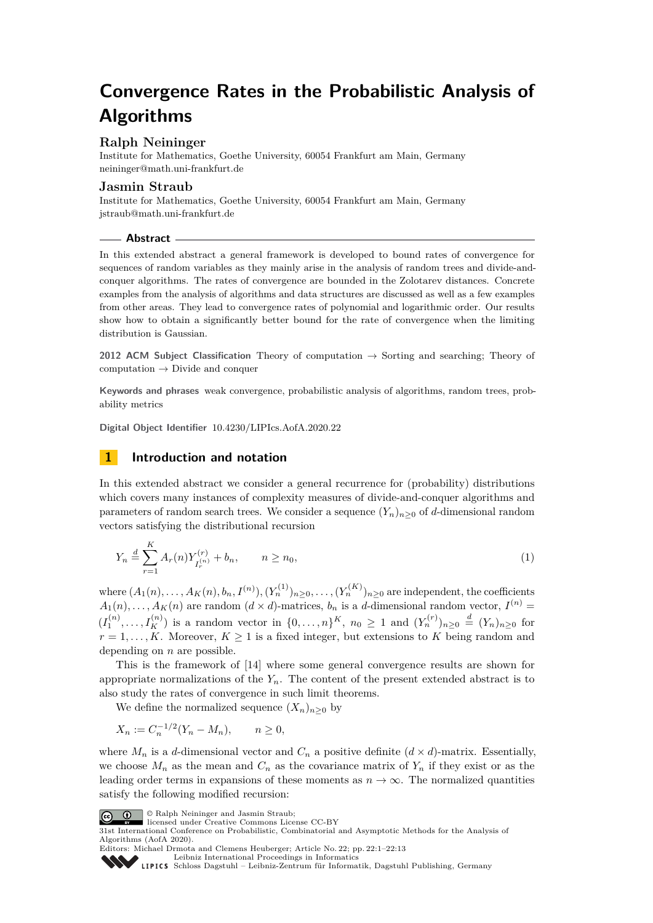# **Convergence Rates in the Probabilistic Analysis of Algorithms**

# **Ralph Neininger**

Institute for Mathematics, Goethe University, 60054 Frankfurt am Main, Germany [neininger@math.uni-frankfurt.de](mailto:neininger@math.uni-frankfurt.de)

### **Jasmin Straub**

Institute for Mathematics, Goethe University, 60054 Frankfurt am Main, Germany [jstraub@math.uni-frankfurt.de](mailto:jstraub@math.uni-frankfurt.de)

#### **Abstract**

In this extended abstract a general framework is developed to bound rates of convergence for sequences of random variables as they mainly arise in the analysis of random trees and divide-andconquer algorithms. The rates of convergence are bounded in the Zolotarev distances. Concrete examples from the analysis of algorithms and data structures are discussed as well as a few examples from other areas. They lead to convergence rates of polynomial and logarithmic order. Our results show how to obtain a significantly better bound for the rate of convergence when the limiting distribution is Gaussian.

**2012 ACM Subject Classification** Theory of computation → Sorting and searching; Theory of computation  $\rightarrow$  Divide and conquer

**Keywords and phrases** weak convergence, probabilistic analysis of algorithms, random trees, probability metrics

**Digital Object Identifier** [10.4230/LIPIcs.AofA.2020.22](https://doi.org/10.4230/LIPIcs.AofA.2020.22)

# <span id="page-0-1"></span>**1 Introduction and notation**

In this extended abstract we consider a general recurrence for (probability) distributions which covers many instances of complexity measures of divide-and-conquer algorithms and parameters of random search trees. We consider a sequence  $(Y_n)_{n>0}$  of *d*-dimensional random vectors satisfying the distributional recursion

<span id="page-0-0"></span>
$$
Y_n \stackrel{d}{=} \sum_{r=1}^K A_r(n) Y_{I_r^{(n)}}^{(r)} + b_n, \qquad n \ge n_0,
$$
\n(1)

where  $(A_1(n),...,A_K(n),b_n,I^{(n)}),(Y_n^{(1)})_{n\geq 0},\ldots,(Y_n^{(K)})_{n\geq 0}$  are independent, the coefficients  $A_1(n), \ldots, A_K(n)$  are random  $(d \times d)$ -matrices,  $b_n$  is a *d*-dimensional random vector,  $I^{(n)}$  =  $(I_1^{(n)}, \ldots, I_K^{(n)})$  is a random vector in  $\{0, \ldots, n\}^K$ ,  $n_0 \ge 1$  and  $(Y_n^{(r)})_{n \ge 0} \stackrel{d}{=} (Y_n)_{n \ge 0}$  for  $r = 1, \ldots, K$ . Moreover,  $K \geq 1$  is a fixed integer, but extensions to *K* being random and depending on *n* are possible.

This is the framework of [\[14\]](#page-12-0) where some general convergence results are shown for appropriate normalizations of the  $Y_n$ . The content of the present extended abstract is to also study the rates of convergence in such limit theorems.

We define the normalized sequence  $(X_n)_{n>0}$  by

$$
X_n := C_n^{-1/2} (Y_n - M_n), \qquad n \ge 0,
$$

where  $M_n$  is a *d*-dimensional vector and  $C_n$  a positive definite  $(d \times d)$ -matrix. Essentially, we choose  $M_n$  as the mean and  $C_n$  as the covariance matrix of  $Y_n$  if they exist or as the leading order terms in expansions of these moments as  $n \to \infty$ . The normalized quantities satisfy the following modified recursion:



© Ralph Neininger and Jasmin Straub;

[Schloss Dagstuhl – Leibniz-Zentrum für Informatik, Dagstuhl Publishing, Germany](https://www.dagstuhl.de)



State International Conference on Probabilistic, Combinatorial and Asymptotic Methods for the Analysis of 31st International Conference on Probabilistic, Combinatorial and Asymptotic Methods for the Analysis of Algorithms (AofA 2020).

Editors: Michael Drmota and Clemens Heuberger; Article No. 22; pp. 22:1–22[:13](#page-12-1)

[Leibniz International Proceedings in Informatics](https://www.dagstuhl.de/lipics/)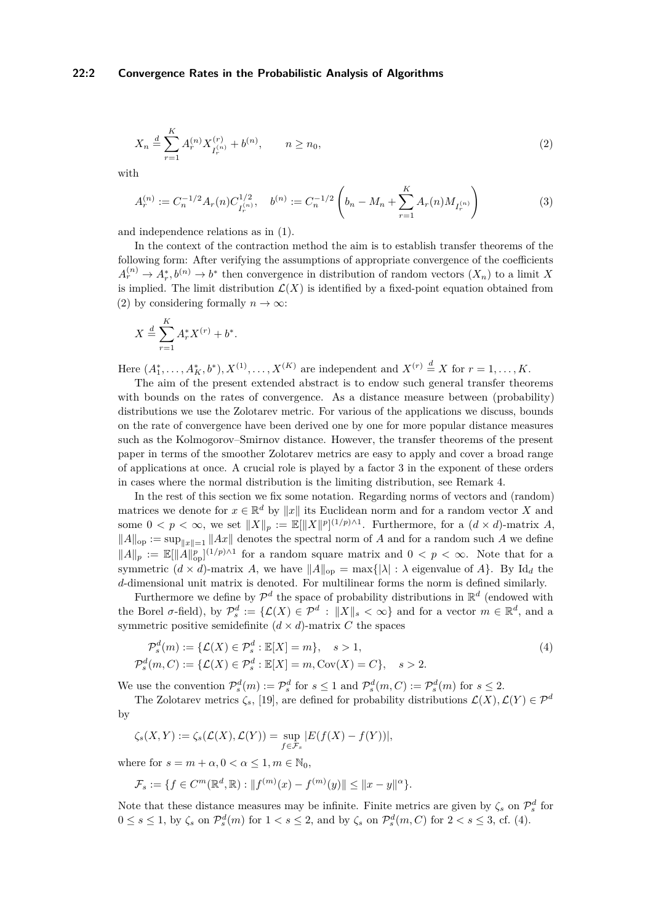$$
X_n \stackrel{d}{=} \sum_{r=1}^K A_r^{(n)} X_{I_r^{(n)}}^{(r)} + b^{(n)}, \qquad n \ge n_0,
$$
\n(2)

with

<span id="page-1-2"></span><span id="page-1-0"></span>
$$
A_r^{(n)} := C_n^{-1/2} A_r(n) C_{I_r^{(n)}}^{1/2}, \quad b^{(n)} := C_n^{-1/2} \left( b_n - M_n + \sum_{r=1}^K A_r(n) M_{I_r^{(n)}} \right)
$$
(3)

and independence relations as in [\(1\)](#page-0-0).

In the context of the contraction method the aim is to establish transfer theorems of the following form: After verifying the assumptions of appropriate convergence of the coefficients  $A_r^{(n)} \to A_r^*$ ,  $b^{(n)} \to b^*$  then convergence in distribution of random vectors  $(X_n)$  to a limit X is implied. The limit distribution  $\mathcal{L}(X)$  is identified by a fixed-point equation obtained from [\(2\)](#page-1-0) by considering formally  $n \to \infty$ :

$$
X \stackrel{d}{=} \sum_{r=1}^{K} A_r^* X^{(r)} + b^*.
$$

Here  $(A_1^*, \ldots, A_K^*, b^*), X^{(1)}, \ldots, X^{(K)}$  are independent and  $X^{(r)} \stackrel{d}{=} X$  for  $r = 1, \ldots, K$ .

The aim of the present extended abstract is to endow such general transfer theorems with bounds on the rates of convergence. As a distance measure between (probability) distributions we use the Zolotarev metric. For various of the applications we discuss, bounds on the rate of convergence have been derived one by one for more popular distance measures such as the Kolmogorov–Smirnov distance. However, the transfer theorems of the present paper in terms of the smoother Zolotarev metrics are easy to apply and cover a broad range of applications at once. A crucial role is played by a factor 3 in the exponent of these orders in cases where the normal distribution is the limiting distribution, see Remark [4.](#page-4-0)

In the rest of this section we fix some notation. Regarding norms of vectors and (random) matrices we denote for  $x \in \mathbb{R}^d$  by  $||x||$  its Euclidean norm and for a random vector *X* and some  $0 < p < \infty$ , we set  $||X||_p := \mathbb{E}[||X||^p]^{(1/p)\wedge 1}$ . Furthermore, for a  $(d \times d)$ -matrix *A*,  $||A||_{op} := \sup_{||x||=1} ||Ax||$  denotes the spectral norm of *A* and for a random such *A* we define  $||A||_p := \mathbb{E}[||A||_{op}^p]^{(1/p)\wedge 1}$  for a random square matrix and  $0 < p < \infty$ . Note that for a symmetric  $(d \times d)$ -matrix *A*, we have  $||A||_{op} = \max\{|\lambda| : \lambda \text{ eigenvalue of } A\}$ . By Id<sub>d</sub> the *d*-dimensional unit matrix is denoted. For multilinear forms the norm is defined similarly.

Furthermore we define by  $\mathcal{P}^d$  the space of probability distributions in  $\mathbb{R}^d$  (endowed with the Borel  $\sigma$ -field), by  $\mathcal{P}_s^d := \{ \mathcal{L}(X) \in \mathcal{P}^d : ||X||_s < \infty \}$  and for a vector  $m \in \mathbb{R}^d$ , and a symmetric positive semidefinite  $(d \times d)$ -matrix *C* the spaces

<span id="page-1-1"></span>
$$
\mathcal{P}_s^d(m) := \{ \mathcal{L}(X) \in \mathcal{P}_s^d : \mathbb{E}[X] = m \}, \quad s > 1,
$$
  

$$
\mathcal{P}_s^d(m, C) := \{ \mathcal{L}(X) \in \mathcal{P}_s^d : \mathbb{E}[X] = m, \text{Cov}(X) = C \}, \quad s > 2.
$$
 (4)

We use the convention  $\mathcal{P}_s^d(m) := \mathcal{P}_s^d$  for  $s \leq 1$  and  $\mathcal{P}_s^d(m, C) := \mathcal{P}_s^d(m)$  for  $s \leq 2$ .

The Zolotarev metrics  $\zeta_s$ , [\[19\]](#page-12-2), are defined for probability distributions  $\mathcal{L}(X), \mathcal{L}(Y) \in \mathcal{P}^d$ by

$$
\zeta_s(X,Y) := \zeta_s(\mathcal{L}(X),\mathcal{L}(Y)) = \sup_{f \in \mathcal{F}_s} |E(f(X) - f(Y))|,
$$

where for  $s = m + \alpha, 0 < \alpha \leq 1, m \in \mathbb{N}_0$ ,

$$
\mathcal{F}_s := \{ f \in C^m(\mathbb{R}^d, \mathbb{R}) : ||f^{(m)}(x) - f^{(m)}(y)|| \le ||x - y||^{\alpha} \}.
$$

Note that these distance measures may be infinite. Finite metrics are given by  $\zeta_s$  on  $\mathcal{P}_s^d$  for  $0 \leq s \leq 1$ , by  $\zeta_s$  on  $\mathcal{P}_s^d(m)$  for  $1 < s \leq 2$ , and by  $\zeta_s$  on  $\mathcal{P}_s^d(m, C)$  for  $2 < s \leq 3$ , cf. [\(4\)](#page-1-1).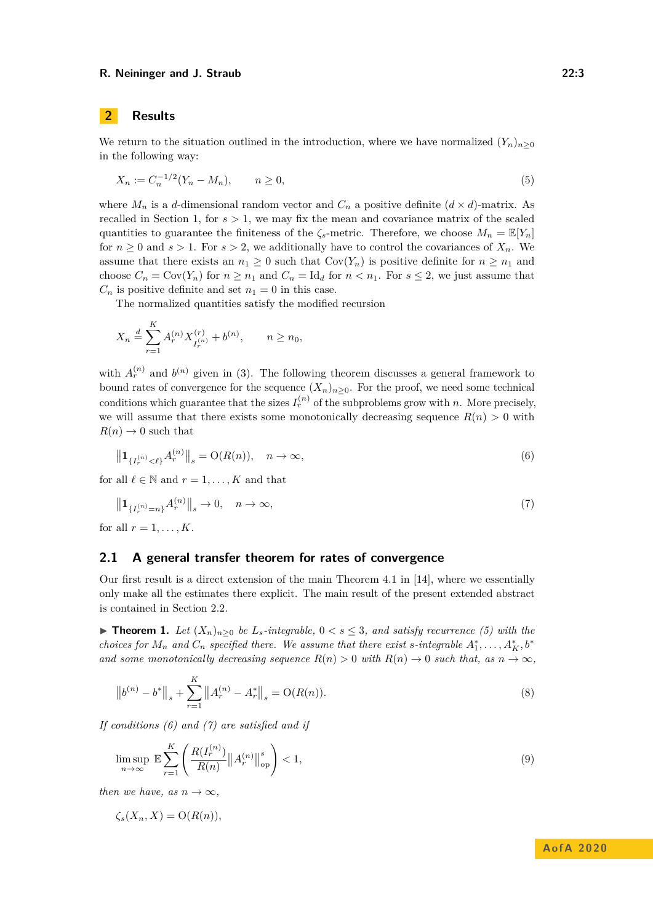# **2 Results**

We return to the situation outlined in the introduction, where we have normalized  $(Y_n)_{n>0}$ in the following way:

<span id="page-2-0"></span>
$$
X_n := C_n^{-1/2}(Y_n - M_n), \qquad n \ge 0,
$$
\n<sup>(5)</sup>

where  $M_n$  is a *d*-dimensional random vector and  $C_n$  a positive definite  $(d \times d)$ -matrix. As recalled in Section [1,](#page-0-1) for  $s > 1$ , we may fix the mean and covariance matrix of the scaled quantities to guarantee the finiteness of the  $\zeta_s$ -metric. Therefore, we choose  $M_n = \mathbb{E}[Y_n]$ for  $n \geq 0$  and  $s > 1$ . For  $s > 2$ , we additionally have to control the covariances of  $X_n$ . We assume that there exists an  $n_1 \geq 0$  such that  $Cov(Y_n)$  is positive definite for  $n \geq n_1$  and choose  $C_n = \text{Cov}(Y_n)$  for  $n \geq n_1$  and  $C_n = \text{Id}_d$  for  $n < n_1$ . For  $s \leq 2$ , we just assume that  $C_n$  is positive definite and set  $n_1 = 0$  in this case.

The normalized quantities satisfy the modified recursion

$$
X_n \stackrel{d}{=} \sum_{r=1}^K A_r^{(n)} X_{I_r^{(n)}}^{(r)} + b^{(n)}, \qquad n \ge n_0,
$$

with  $A_r^{(n)}$  and  $b^{(n)}$  given in [\(3\)](#page-1-2). The following theorem discusses a general framework to bound rates of convergence for the sequence  $(X_n)_{n\geq 0}$ . For the proof, we need some technical conditions which guarantee that the sizes  $I_r^{(n)}$  of the subproblems grow with *n*. More precisely, we will assume that there exists some monotonically decreasing sequence  $R(n) > 0$  with  $R(n) \rightarrow 0$  such that

<span id="page-2-1"></span>
$$
\left\| \mathbf{1}_{\{I_r^{(n)} < \ell\}} A_r^{(n)} \right\|_s = \mathcal{O}(R(n)), \quad n \to \infty,\tag{6}
$$

for all  $\ell \in \mathbb{N}$  and  $r = 1, \ldots, K$  and that

<span id="page-2-2"></span>
$$
\|\mathbf{1}_{\{I_r^{(n)}=n\}} A_r^{(n)}\|_s \to 0, \quad n \to \infty,
$$
\n(7)

for all  $r = 1, \ldots, K$ .

# **2.1 A general transfer theorem for rates of convergence**

Our first result is a direct extension of the main Theorem 4.1 in [\[14\]](#page-12-0), where we essentially only make all the estimates there explicit. The main result of the present extended abstract is contained in Section [2.2.](#page-3-0)

<span id="page-2-4"></span>▶ **Theorem 1.** *Let*  $(X_n)_{n>0}$  *be*  $L_s$ *-integrable,*  $0 < s \leq 3$ *, and satisfy recurrence [\(5\)](#page-2-0) with the choices for*  $M_n$  *and*  $C_n$  *specified there. We assume that there exist s-integrable*  $A_1^*, \ldots, A_K^*, b^*$ *and some monotonically decreasing sequence*  $R(n) > 0$  *with*  $R(n) \to 0$  *such that, as*  $n \to \infty$ *,* 

<span id="page-2-3"></span>
$$
\left\| b^{(n)} - b^* \right\|_s + \sum_{r=1}^K \left\| A_r^{(n)} - A_r^* \right\|_s = \mathcal{O}(R(n)).\tag{8}
$$

*If conditions [\(6\)](#page-2-1) and [\(7\)](#page-2-2) are satisfied and if*

<span id="page-2-5"></span>
$$
\limsup_{n \to \infty} \mathbb{E} \sum_{r=1}^{K} \left( \frac{R(I_r^{(n)})}{R(n)} ||A_r^{(n)}||_{op}^s \right) < 1,\tag{9}
$$

*then we have, as*  $n \to \infty$ *,* 

$$
\zeta_s(X_n, X) = \mathrm{O}(R(n)),
$$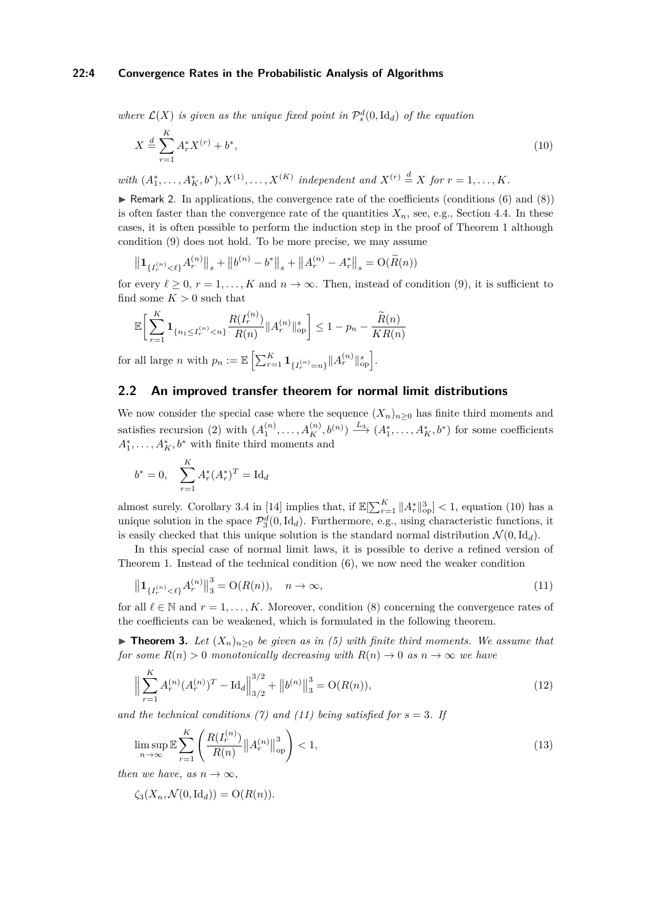### **22:4 Convergence Rates in the Probabilistic Analysis of Algorithms**

where  $\mathcal{L}(X)$  *is given as the unique fixed point in*  $\mathcal{P}_s^d(0, \text{Id}_d)$  *of the equation* 

<span id="page-3-1"></span>
$$
X \stackrel{d}{=} \sum_{r=1}^{K} A_r^* X^{(r)} + b^*,\tag{10}
$$

*with*  $(A_1^*, \ldots, A_K^*, b^*), X^{(1)}, \ldots, X^{(K)}$  independent and  $X^{(r)} \stackrel{d}{=} X$  for  $r = 1, \ldots, K$ .

<span id="page-3-6"></span>**F** Remark 2. In applications, the convergence rate of the coefficients (conditions  $(6)$  and  $(8)$ ) is often faster than the convergence rate of the quantities  $X_n$ , see, e.g., Section [4.4.](#page-10-0) In these cases, it is often possible to perform the induction step in the proof of Theorem [1](#page-2-4) although condition [\(9\)](#page-2-5) does not hold. To be more precise, we may assume

$$
\left\| \mathbf{1}_{\{I_r^{(n)} < \ell\}} A_r^{(n)} \right\|_s + \left\| b^{(n)} - b^* \right\|_s + \left\| A_r^{(n)} - A_r^* \right\|_s = \mathcal{O}(\widetilde{R}(n))
$$

for every  $\ell \geq 0$ ,  $r = 1, \ldots, K$  and  $n \to \infty$ . Then, instead of condition [\(9\)](#page-2-5), it is sufficient to find some  $K > 0$  such that

$$
\mathbb{E}\bigg[\sum_{r=1}^K \mathbf{1}_{\{n_1 \leq I_r^{(n)} < n\}} \frac{R(I_r^{(n)})}{R(n)} \|A_r^{(n)}\|_{\text{op}}^s \bigg] \leq 1 - p_n - \frac{\widetilde{R}(n)}{KR(n)}
$$

 $\text{for all large } n \text{ with } p_n := \mathbb{E}\left[\sum_{r=1}^K \mathbf{1}_{\{I_r^{(n)}=n\}} \|A_r^{(n)}\|_{\text{op}}^s\right].$ 

# <span id="page-3-0"></span>**2.2 An improved transfer theorem for normal limit distributions**

We now consider the special case where the sequence  $(X_n)_{n\geq 0}$  has finite third moments and satisfies recursion [\(2\)](#page-1-0) with  $(A_1^{(n)}, \ldots, A_K^{(n)}, b^{(n)}) \stackrel{L_3}{\longrightarrow} (A_1^*, \ldots, A_K^*, b^*)$  for some coefficients  $A_1^*, \ldots, A_K^*, b^*$  with finite third moments and

$$
b^* = 0, \quad \sum_{r=1}^K A_r^*(A_r^*)^T = \mathrm{Id}_d
$$

almost surely. Corollary 3.4 in [\[14\]](#page-12-0) implies that, if  $\mathbb{E}[\sum_{r=1}^{K} ||A_r^*||_{op}^3] < 1$ , equation [\(10\)](#page-3-1) has a unique solution in the space  $\mathcal{P}_3^d(0, \text{Id}_d)$ . Furthermore, e.g., using characteristic functions, it is easily checked that this unique solution is the standard normal distribution  $\mathcal{N}(0, \text{Id}_d)$ .

In this special case of normal limit laws, it is possible to derive a refined version of Theorem [1.](#page-2-4) Instead of the technical condition  $(6)$ , we now need the weaker condition

<span id="page-3-2"></span>
$$
\|\mathbf{1}_{\{I_r^{(n)} < \ell\}} A_r^{(n)}\|_3^3 = \mathcal{O}(R(n)), \quad n \to \infty,
$$
\n(11)

for all  $\ell \in \mathbb{N}$  and  $r = 1, \ldots, K$ . Moreover, condition [\(8\)](#page-2-3) concerning the convergence rates of the coefficients can be weakened, which is formulated in the following theorem.

<span id="page-3-3"></span>▶ **Theorem 3.** *Let*  $(X_n)_{n>0}$  *be given as in [\(5\)](#page-2-0)* with finite third moments. We assume that *for some*  $R(n) > 0$  *monotonically decreasing with*  $R(n) \to 0$  *as*  $n \to \infty$  *we have* 

<span id="page-3-4"></span>
$$
\Big\| \sum_{r=1}^{K} A_r^{(n)} (A_r^{(n)})^T - \text{Id}_d \Big\|_{3/2}^{3/2} + \big\| b^{(n)} \big\|_3^3 = \text{O}(R(n)),\tag{12}
$$

*and the technical conditions [\(7\)](#page-2-2)* and [\(11\)](#page-3-2) being satisfied for  $s = 3$ . If

<span id="page-3-5"></span>
$$
\limsup_{n \to \infty} \mathbb{E} \sum_{r=1}^{K} \left( \frac{R(I_r^{(n)})}{R(n)} ||A_r^{(n)}||_{\text{op}}^3 \right) < 1,\tag{13}
$$

*then we have, as*  $n \to \infty$ *,* 

$$
\zeta_3(X_n, \mathcal{N}(0, \mathrm{Id}_d)) = \mathrm{O}(R(n)).
$$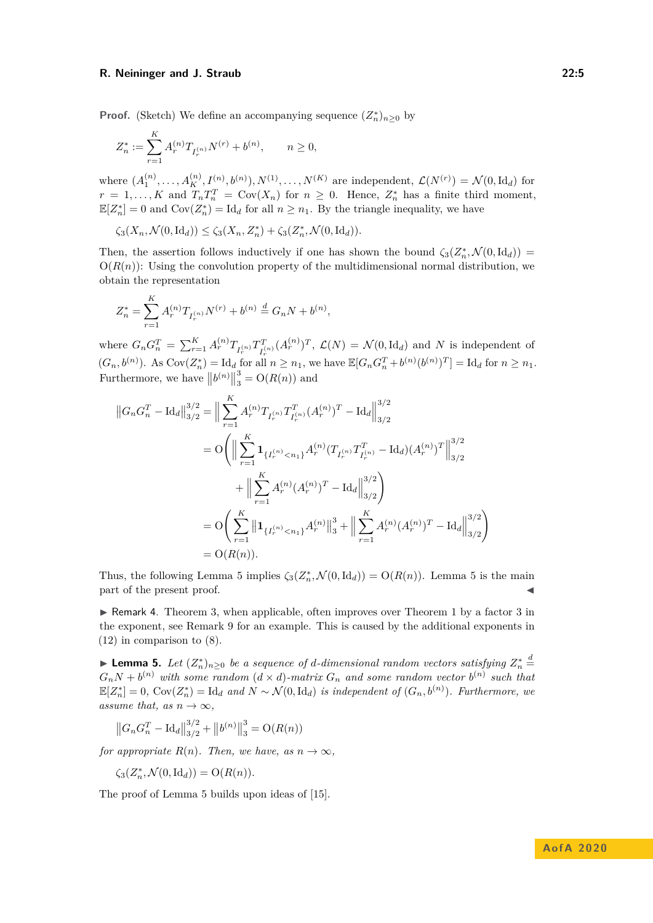**Proof.** (Sketch) We define an accompanying sequence  $(Z_n^*)_{n\geq 0}$  by

$$
Z_n^*:=\sum_{r=1}^K A_r^{(n)} T_{I_r^{(n)}} N^{(r)} + b^{(n)}, \qquad n\geq 0,
$$

where  $(A_1^{(n)}, \ldots, A_K^{(n)}, I^{(n)}, b^{(n)}), N^{(1)}, \ldots, N^{(K)}$  are independent,  $\mathcal{L}(N^{(r)}) = \mathcal{N}(0, \text{Id}_d)$  for  $r = 1, \ldots, K$  and  $T_n T_n^T = \text{Cov}(X_n)$  for  $n \geq 0$ . Hence,  $Z_n^*$  has a finite third moment,  $\mathbb{E}[Z_n^*]=0$  and  $Cov(Z_n^*)=Id_d$  for all  $n \geq n_1$ . By the triangle inequality, we have

$$
\zeta_3(X_n, \mathcal{N}(0, \mathrm{Id}_d)) \le \zeta_3(X_n, Z_n^*) + \zeta_3(Z_n^*, \mathcal{N}(0, \mathrm{Id}_d)).
$$

Then, the assertion follows inductively if one has shown the bound  $\zeta_3(Z_n^*, \mathcal{N}(0, \mathrm{Id}_d))$  $O(R(n))$ : Using the convolution property of the multidimensional normal distribution, we obtain the representation

$$
Z_n^* = \sum_{r=1}^K A_r^{(n)} T_{I_r^{(n)}} N^{(r)} + b^{(n)} \stackrel{d}{=} G_n N + b^{(n)},
$$

where  $G_n G_n^T = \sum_{r=1}^K A_r^{(n)} T_{I_r^{(n)}} T_{I_r^T}^T$  $I_{I_r}^{T}(\Lambda_r^{(n)})^T$ ,  $\mathcal{L}(N) = \mathcal{N}(0, \text{Id}_d)$  and *N* is independent of  $(G_n, b^{(n)})$ . As  $Cov(Z_n^*) = \mathrm{Id}_d$  for all  $n \geq n_1$ , we have  $\mathbb{E}[G_n G_n^T + b^{(n)} (b^{(n)})^T] = \mathrm{Id}_d$  for  $n \geq n_1$ . Furthermore, we have  $||b^{(n)}||$ 3  $S_3$  =  $O(R(n))$  and

$$
\|G_n G_n^T - \text{Id}_d\|_{3/2}^{3/2} = \Big\|\sum_{r=1}^K A_r^{(n)} T_{I_r^{(n)}} T_{I_r^{(n)}}^T (A_r^{(n)})^T - \text{Id}_d\Big\|_{3/2}^{3/2}
$$
  
\n
$$
= O\Bigg(\Big\|\sum_{r=1}^K \mathbf{1}_{\{I_r^{(n)} < n_1\}} A_r^{(n)} (T_{I_r^{(n)}} T_{I_r^{(n)}}^T - \text{Id}_d) (A_r^{(n)})^T\Big\|_{3/2}^{3/2}
$$
  
\n
$$
+ \Big\|\sum_{r=1}^K A_r^{(n)} (A_r^{(n)})^T - \text{Id}_d\Big\|_{3/2}^{3/2}\Bigg)
$$
  
\n
$$
= O\Bigg(\sum_{r=1}^K \big\|\mathbf{1}_{\{I_r^{(n)} < n_1\}} A_r^{(n)}\big\|_3^3 + \Big\|\sum_{r=1}^K A_r^{(n)} (A_r^{(n)})^T - \text{Id}_d\Big\|_{3/2}^{3/2}\Bigg)
$$
  
\n
$$
= O(R(n)).
$$

Thus, the following Lemma [5](#page-4-1) implies  $\zeta_3(Z_n^*, \mathcal{N}(0, \mathrm{Id}_d)) = O(R(n))$ . Lemma 5 is the main part of the present proof.

<span id="page-4-0"></span> $\triangleright$  Remark 4. Theorem [3,](#page-3-3) when applicable, often improves over Theorem [1](#page-2-4) by a factor 3 in the exponent, see Remark [9](#page-9-0) for an example. This is caused by the additional exponents in [\(12\)](#page-3-4) in comparison to [\(8\)](#page-2-3).

<span id="page-4-1"></span>► **Lemma 5.** *Let*  $(Z_n^*)_{n\geq 0}$  *be a sequence of d-dimensional random vectors satisfying*  $Z_n^*$   $\stackrel{d}{=}$  $G_nN + b^{(n)}$  with some random  $(d \times d)$ -matrix  $G_n$  and some random vector  $b^{(n)}$  such that  $\mathbb{E}[Z_n^*] = 0$ ,  $Cov(Z_n^*) = \text{Id}_d$  and  $N \sim \mathcal{N}(0, \text{Id}_d)$  *is independent of*  $(G_n, b^{(n)})$ *. Furthermore, we assume that, as*  $n \to \infty$ *,* 

$$
\left\|G_n G_n^T - \text{Id}_d\right\|_{3/2}^{3/2} + \left\|b^{(n)}\right\|_3^3 = \text{O}(R(n))
$$

*for appropriate*  $R(n)$ *. Then, we have, as*  $n \to \infty$ *,* 

$$
\zeta_3(Z_n^*,\mathcal{N}(0,\mathrm{Id}_d))=\mathrm{O}(R(n)).
$$

The proof of Lemma [5](#page-4-1) builds upon ideas of [\[15\]](#page-12-3).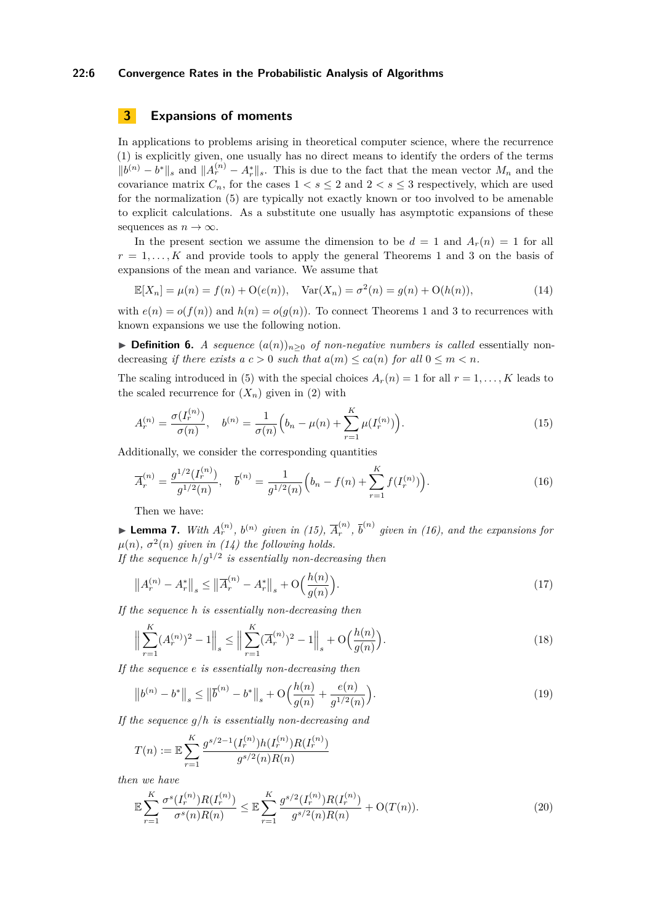### **22:6 Convergence Rates in the Probabilistic Analysis of Algorithms**

# **3 Expansions of moments**

In applications to problems arising in theoretical computer science, where the recurrence [\(1\)](#page-0-0) is explicitly given, one usually has no direct means to identify the orders of the terms  $||b^{(n)} - b^*||_s$  and  $||A_r^{(n)} - A_r^*||_s$ . This is due to the fact that the mean vector  $M_n$  and the covariance matrix  $C_n$ , for the cases  $1 < s \leq 2$  and  $2 < s \leq 3$  respectively, which are used for the normalization [\(5\)](#page-2-0) are typically not exactly known or too involved to be amenable to explicit calculations. As a substitute one usually has asymptotic expansions of these sequences as  $n \to \infty$ .

In the present section we assume the dimension to be  $d = 1$  and  $A_r(n) = 1$  for all  $r = 1, \ldots, K$  $r = 1, \ldots, K$  $r = 1, \ldots, K$  and provide tools to apply the general Theorems 1 and [3](#page-3-3) on the basis of expansions of the mean and variance. We assume that

<span id="page-5-2"></span>
$$
\mathbb{E}[X_n] = \mu(n) = f(n) + \mathcal{O}(e(n)), \quad \text{Var}(X_n) = \sigma^2(n) = g(n) + \mathcal{O}(h(n)),\tag{14}
$$

with  $e(n) = o(f(n))$  and  $h(n) = o(g(n))$ . To connect Theorems [1](#page-2-4) and [3](#page-3-3) to recurrences with known expansions we use the following notion.

**► Definition 6.** *A sequence*  $(a(n))_{n>0}$  *of non-negative numbers is called* essentially nondecreasing *if there exists a*  $c > 0$  *such that*  $a(m) \leq ca(n)$  *for all*  $0 \leq m \leq n$ *.* 

The scaling introduced in [\(5\)](#page-2-0) with the special choices  $A_r(n) = 1$  for all  $r = 1, \ldots, K$  leads to the scaled recurrence for  $(X_n)$  given in [\(2\)](#page-1-0) with

<span id="page-5-0"></span>
$$
A_r^{(n)} = \frac{\sigma(I_r^{(n)})}{\sigma(n)}, \quad b^{(n)} = \frac{1}{\sigma(n)} \Big( b_n - \mu(n) + \sum_{r=1}^K \mu(I_r^{(n)}) \Big). \tag{15}
$$

Additionally, we consider the corresponding quantities

<span id="page-5-1"></span>
$$
\overline{A}_r^{(n)} = \frac{g^{1/2}(I_r^{(n)})}{g^{1/2}(n)}, \quad \overline{b}^{(n)} = \frac{1}{g^{1/2}(n)} \Big( b_n - f(n) + \sum_{r=1}^K f(I_r^{(n)}) \Big). \tag{16}
$$

Then we have:

<span id="page-5-5"></span>▶ **Lemma 7.** *With*  $A_r^{(n)}$ *,*  $b^{(n)}$  *given in [\(15\)](#page-5-0),*  $\overline{A}_r^{(n)}$  $\bar{b}^{(n)}$ ,  $\bar{b}^{(n)}$  given in [\(16\)](#page-5-1), and the expansions for  $\mu(n)$ ,  $\sigma^2(n)$  given in [\(14\)](#page-5-2) the following holds.

*If the sequence*  $h/g^{1/2}$  *is essentially non-decreasing then* 

<span id="page-5-3"></span>
$$
\left\|A_r^{(n)} - A_r^*\right\|_s \le \left\|\overline{A}_r^{(n)} - A_r^*\right\|_s + \mathcal{O}\Big(\frac{h(n)}{g(n)}\Big). \tag{17}
$$

*If the sequence h is essentially non-decreasing then*

$$
\left\| \sum_{r=1}^{K} (A_r^{(n)})^2 - 1 \right\|_s \le \left\| \sum_{r=1}^{K} (\overline{A}_r^{(n)})^2 - 1 \right\|_s + \mathcal{O}\Big(\frac{h(n)}{g(n)}\Big). \tag{18}
$$

*If the sequence e is essentially non-decreasing then*

$$
\left\|b^{(n)} - b^*\right\|_s \le \left\|\overline{b}^{(n)} - b^*\right\|_s + \mathcal{O}\left(\frac{h(n)}{g(n)} + \frac{e(n)}{g^{1/2}(n)}\right). \tag{19}
$$

*If the sequence g/h is essentially non-decreasing and*

$$
T(n) := \mathbb{E} \sum_{r=1}^{K} \frac{g^{s/2-1}(I_r^{(n)}) h(I_r^{(n)}) R(I_r^{(n)})}{g^{s/2}(n) R(n)}
$$

*then we have*

<span id="page-5-4"></span>
$$
\mathbb{E}\sum_{r=1}^{K} \frac{\sigma^s(I_r^{(n)})R(I_r^{(n)})}{\sigma^s(n)R(n)} \leq \mathbb{E}\sum_{r=1}^{K} \frac{g^{s/2}(I_r^{(n)})R(I_r^{(n)})}{g^{s/2}(n)R(n)} + \mathcal{O}(T(n)).
$$
\n(20)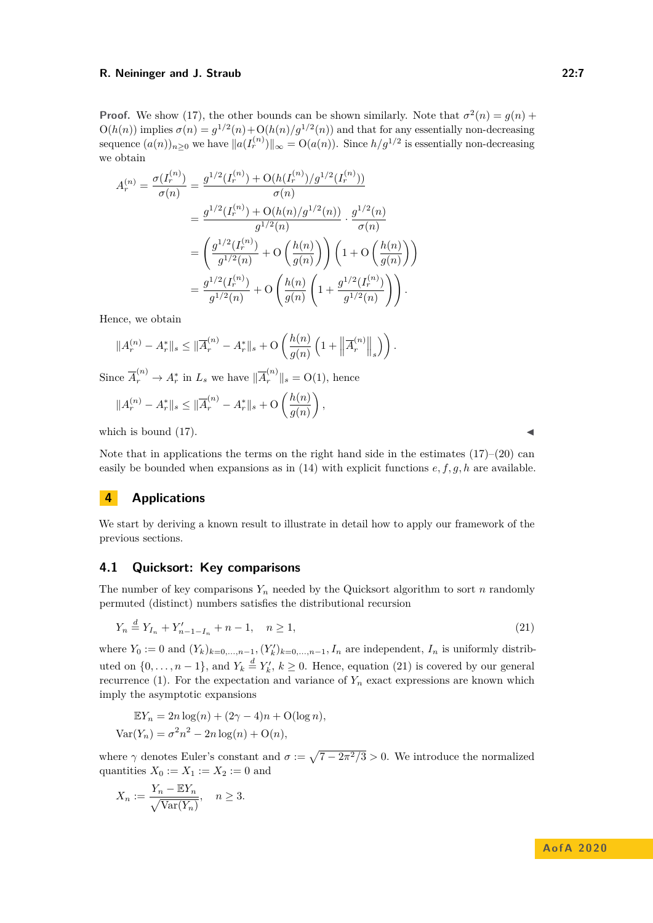**Proof.** We show [\(17\)](#page-5-3), the other bounds can be shown similarly. Note that  $\sigma^2(n) = g(n)$  +  $O(h(n))$  implies  $\sigma(n) = g^{1/2}(n) + O(h(n)/g^{1/2}(n))$  and that for any essentially non-decreasing sequence  $(a(n))_{n\geq 0}$  we have  $||a(I_r^{(n)})||_{\infty} = O(a(n))$ . Since  $h/g^{1/2}$  is essentially non-decreasing we obtain

$$
A_r^{(n)} = \frac{\sigma(I_r^{(n)})}{\sigma(n)} = \frac{g^{1/2}(I_r^{(n)}) + \mathcal{O}(h(I_r^{(n)})/g^{1/2}(I_r^{(n)}))}{\sigma(n)}
$$
  

$$
= \frac{g^{1/2}(I_r^{(n)}) + \mathcal{O}(h(n)/g^{1/2}(n))}{g^{1/2}(n)} \cdot \frac{g^{1/2}(n)}{\sigma(n)}
$$
  

$$
= \left(\frac{g^{1/2}(I_r^{(n)})}{g^{1/2}(n)} + \mathcal{O}\left(\frac{h(n)}{g(n)}\right)\right) \left(1 + \mathcal{O}\left(\frac{h(n)}{g(n)}\right)\right)
$$
  

$$
= \frac{g^{1/2}(I_r^{(n)})}{g^{1/2}(n)} + \mathcal{O}\left(\frac{h(n)}{g(n)}\left(1 + \frac{g^{1/2}(I_r^{(n)})}{g^{1/2}(n)}\right)\right).
$$

Hence, we obtain

$$
||A_r^{(n)} - A_r^*||_s \le ||\overline{A}_r^{(n)} - A_r^*||_s + O\left(\frac{h(n)}{g(n)}\left(1 + \left\|\overline{A}_r^{(n)}\right\|_s\right)\right).
$$

Since  $\overline{A}_r^{(n)} \to A_r^*$  in  $L_s$  we have  $\|\overline{A}_r^{(n)}\|_s = O(1)$ , hence

$$
||A_r^{(n)} - A_r^*||_s \le ||\overline{A}_r^{(n)} - A_r^*||_s + \mathcal{O}\left(\frac{h(n)}{g(n)}\right),
$$

which is bound  $(17)$ .

Note that in applications the terms on the right hand side in the estimates  $(17)–(20)$  $(17)–(20)$  $(17)–(20)$  can easily be bounded when expansions as in [\(14\)](#page-5-2) with explicit functions *e, f, g, h* are available.

# **4 Applications**

We start by deriving a known result to illustrate in detail how to apply our framework of the previous sections.

### **4.1 Quicksort: Key comparisons**

The number of key comparisons  $Y_n$  needed by the Quicksort algorithm to sort *n* randomly permuted (distinct) numbers satisfies the distributional recursion

$$
Y_n \stackrel{d}{=} Y_{I_n} + Y'_{n-1-I_n} + n-1, \quad n \ge 1,\tag{21}
$$

where  $Y_0 := 0$  and  $(Y_k)_{k=0,\ldots,n-1}$ ,  $(Y_k')_{k=0,\ldots,n-1}$ ,  $I_n$  are independent,  $I_n$  is uniformly distributed on  $\{0, \ldots, n-1\}$ , and  $Y_k \stackrel{d}{=} Y'_k$ ,  $k \ge 0$ . Hence, equation [\(21\)](#page-6-0) is covered by our general recurrence [\(1\)](#page-0-0). For the expectation and variance of  $Y_n$  exact expressions are known which imply the asymptotic expansions

$$
\mathbb{E}Y_n = 2n \log(n) + (2\gamma - 4)n + O(\log n),
$$
  

$$
\text{Var}(Y_n) = \sigma^2 n^2 - 2n \log(n) + O(n),
$$

where  $\gamma$  denotes Euler's constant and  $\sigma := \sqrt{7 - 2\pi^2/3} > 0$ . We introduce the normalized quantities  $X_0 := X_1 := X_2 := 0$  and

$$
X_n := \frac{Y_n - \mathbb{E}Y_n}{\sqrt{\text{Var}(Y_n)}}, \quad n \ge 3.
$$

<span id="page-6-0"></span>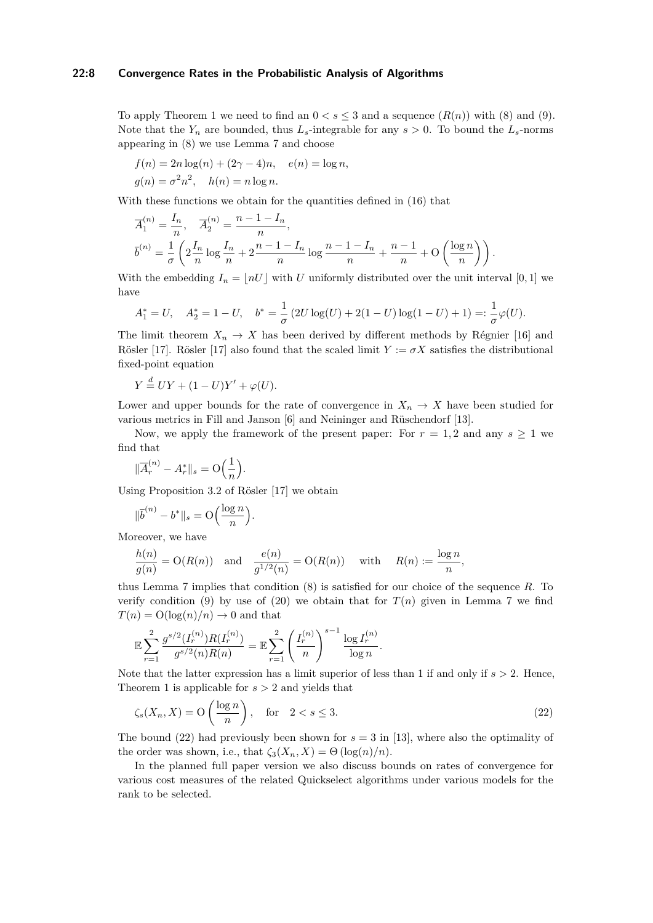### **22:8 Convergence Rates in the Probabilistic Analysis of Algorithms**

To apply Theorem [1](#page-2-4) we need to find an  $0 < s \leq 3$  and a sequence  $(R(n))$  with [\(8\)](#page-2-3) and [\(9\)](#page-2-5). Note that the  $Y_n$  are bounded, thus  $L_s$ -integrable for any  $s > 0$ . To bound the  $L_s$ -norms appearing in [\(8\)](#page-2-3) we use Lemma [7](#page-5-5) and choose

$$
f(n) = 2n \log(n) + (2\gamma - 4)n, \quad e(n) = \log n,
$$
  

$$
g(n) = \sigma^2 n^2, \quad h(n) = n \log n.
$$

With these functions we obtain for the quantities defined in [\(16\)](#page-5-1) that

$$
\overline{A}_1^{(n)} = \frac{I_n}{n}, \quad \overline{A}_2^{(n)} = \frac{n-1-I_n}{n},
$$
  

$$
\overline{b}^{(n)} = \frac{1}{\sigma} \left( 2 \frac{I_n}{n} \log \frac{I_n}{n} + 2 \frac{n-1-I_n}{n} \log \frac{n-1-I_n}{n} + \frac{n-1}{n} + O\left(\frac{\log n}{n}\right) \right).
$$

With the embedding  $I_n = \lfloor nU \rfloor$  with *U* uniformly distributed over the unit interval [0, 1] we have

$$
A_1^* = U, \quad A_2^* = 1 - U, \quad b^* = \frac{1}{\sigma} \left( 2U \log(U) + 2(1 - U) \log(1 - U) + 1 \right) =: \frac{1}{\sigma} \varphi(U).
$$

The limit theorem  $X_n \to X$  has been derived by different methods by Régnier [\[16\]](#page-12-4) and Rösler [\[17\]](#page-12-5). Rösler [17] also found that the scaled limit  $Y := \sigma X$  satisfies the distributional fixed-point equation

$$
Y \stackrel{d}{=} UY + (1 - U)Y' + \varphi(U).
$$

Lower and upper bounds for the rate of convergence in  $X_n \to X$  have been studied for various metrics in Fill and Janson [\[6\]](#page-11-0) and Neininger and Rüschendorf [\[13\]](#page-12-6).

Now, we apply the framework of the present paper: For  $r = 1, 2$  and any  $s \geq 1$  we find that

$$
\|\overline{A}_r^{(n)}-A_r^*\|_s=\mathrm{O}\Big(\frac{1}{n}\Big).
$$

Using Proposition 3.2 of Rösler [\[17\]](#page-12-5) we obtain

$$
\|\overline{b}^{(n)} - b^*\|_s = \mathcal{O}\Big(\frac{\log n}{n}\Big).
$$

Moreover, we have

$$
\frac{h(n)}{g(n)} = \mathcal{O}(R(n)) \quad \text{and} \quad \frac{e(n)}{g^{1/2}(n)} = \mathcal{O}(R(n)) \quad \text{with} \quad R(n) := \frac{\log n}{n},
$$

thus Lemma [7](#page-5-5) implies that condition [\(8\)](#page-2-3) is satisfied for our choice of the sequence *R*. To verify condition [\(9\)](#page-2-5) by use of [\(20\)](#page-5-4) we obtain that for  $T(n)$  given in Lemma [7](#page-5-5) we find  $T(n) = O(\log(n)/n) \rightarrow 0$  and that

$$
\mathbb{E}\sum_{r=1}^2 \frac{g^{s/2}(I_r^{(n)})R(I_r^{(n)})}{g^{s/2}(n)R(n)} = \mathbb{E}\sum_{r=1}^2 \left(\frac{I_r^{(n)}}{n}\right)^{s-1} \frac{\log I_r^{(n)}}{\log n}.
$$

Note that the latter expression has a limit superior of less than 1 if and only if *s >* 2. Hence, Theorem [1](#page-2-4) is applicable for *s >* 2 and yields that

<span id="page-7-0"></span>
$$
\zeta_s(X_n, X) = \mathcal{O}\left(\frac{\log n}{n}\right), \quad \text{for} \quad 2 < s \le 3. \tag{22}
$$

The bound  $(22)$  had previously been shown for  $s = 3$  in [\[13\]](#page-12-6), where also the optimality of the order was shown, i.e., that  $\zeta_3(X_n, X) = \Theta(\log(n)/n)$ .

In the planned full paper version we also discuss bounds on rates of convergence for various cost measures of the related Quickselect algorithms under various models for the rank to be selected.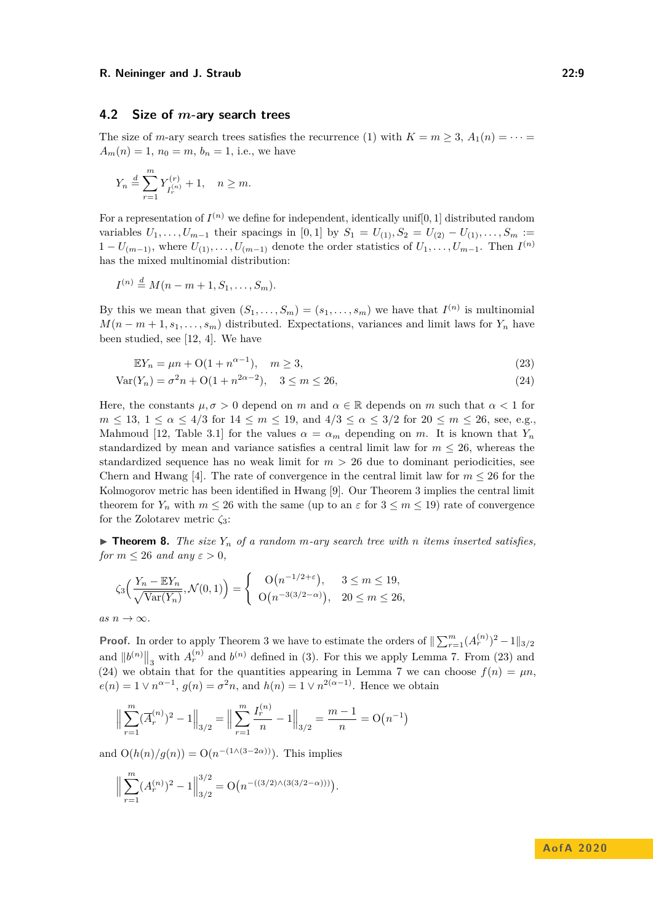# **4.2 Size of** *m***-ary search trees**

The size of *m*-ary search trees satisfies the recurrence [\(1\)](#page-0-0) with  $K = m \geq 3$ ,  $A_1(n) = \cdots$  $A_m(n) = 1$ ,  $n_0 = m$ ,  $b_n = 1$ , i.e., we have

$$
Y_n \stackrel{d}{=} \sum_{r=1}^m Y_{I_r^{(n)}}^{(r)} + 1, \quad n \ge m.
$$

For a representation of  $I^{(n)}$  we define for independent, identically unif $[0,1]$  distributed random variables  $U_1, \ldots, U_{m-1}$  their spacings in [0, 1] by  $S_1 = U_{(1)}, S_2 = U_{(2)} - U_{(1)}, \ldots, S_m :=$  $1 - U_{(m-1)}$ , where  $U_{(1)}, \ldots, U_{(m-1)}$  denote the order statistics of  $U_1, \ldots, U_{m-1}$ . Then  $I^{(n)}$ has the mixed multinomial distribution:

$$
I^{(n)} \stackrel{d}{=} M(n-m+1, S_1, \dots, S_m).
$$

By this we mean that given  $(S_1, \ldots, S_m) = (s_1, \ldots, s_m)$  we have that  $I^{(n)}$  is multinomial  $M(n-m+1, s_1, \ldots, s_m)$  distributed. Expectations, variances and limit laws for  $Y_n$  have been studied, see [\[12,](#page-12-7) [4\]](#page-11-1). We have

<span id="page-8-1"></span><span id="page-8-0"></span>
$$
\mathbb{E}Y_n = \mu n + O(1 + n^{\alpha - 1}), \quad m \ge 3,
$$
\n(23)

$$
Var(Y_n) = \sigma^2 n + O(1 + n^{2\alpha - 2}), \quad 3 \le m \le 26,
$$
\n(24)

Here, the constants  $\mu, \sigma > 0$  depend on *m* and  $\alpha \in \mathbb{R}$  depends on *m* such that  $\alpha < 1$  for *m* ≤ 13, 1 ≤  $\alpha$  ≤ 4/3 for 14 ≤ *m* ≤ 19, and 4/3 ≤  $\alpha$  ≤ 3/2 for 20 ≤ *m* ≤ 26, see, e.g., Mahmoud [\[12,](#page-12-7) Table 3.1] for the values  $\alpha = \alpha_m$  depending on *m*. It is known that  $Y_n$ standardized by mean and variance satisfies a central limit law for  $m \leq 26$ , whereas the standardized sequence has no weak limit for  $m > 26$  due to dominant periodicities, see Chern and Hwang [\[4\]](#page-11-1). The rate of convergence in the central limit law for  $m \leq 26$  for the Kolmogorov metric has been identified in Hwang [\[9\]](#page-12-8). Our Theorem [3](#page-3-3) implies the central limit theorem for  $Y_n$  with  $m \leq 26$  with the same (up to an  $\varepsilon$  for  $3 \leq m \leq 19$ ) rate of convergence for the Zolotarev metric *ζ*3:

<span id="page-8-2"></span> $\triangleright$  **Theorem 8.** *The size*  $Y_n$  *of a random m*-*ary search tree with n items inserted satisfies, for*  $m \leq 26$  *and any*  $\varepsilon > 0$ ,

$$
\zeta_3\left(\frac{Y_n - \mathbb{E}Y_n}{\sqrt{\text{Var}(Y_n)}}, \mathcal{N}(0, 1)\right) = \begin{cases} \mathcal{O}\left(n^{-1/2 + \varepsilon}\right), & 3 \leq m \leq 19, \\ \mathcal{O}\left(n^{-3(3/2 - \alpha)}\right), & 20 \leq m \leq 26, \end{cases}
$$

$$
\quad as\ n\to\infty.
$$

**Proof.** In order to apply Theorem [3](#page-3-3) we have to estimate the orders of  $\|\sum_{r=1}^{m} (A_r^{(n)})^2 - 1\|_{3/2}$ and  $||b^{(n)}||_3$  with  $A_r^{(n)}$  and  $b^{(n)}$  defined in [\(3\)](#page-1-2). For this we apply Lemma [7.](#page-5-5) From [\(23\)](#page-8-0) and [\(24\)](#page-8-1) we obtain that for the quantities appearing in Lemma [7](#page-5-5) we can choose  $f(n) = \mu n$ ,  $e(n) = 1 \vee n^{\alpha-1}$ ,  $g(n) = \sigma^2 n$ , and  $h(n) = 1 \vee n^{2(\alpha-1)}$ . Hence we obtain

$$
\left\| \sum_{r=1}^{m} (\overline{A}_r^{(n)})^2 - 1 \right\|_{3/2} = \left\| \sum_{r=1}^{m} \frac{I_r^{(n)}}{n} - 1 \right\|_{3/2} = \frac{m-1}{n} = O(n^{-1})
$$

and  $O(h(n)/g(n)) = O(n^{-(1/(3-2\alpha))})$ . This implies

$$
\Big\| \sum_{r=1}^m (A_r^{(n)})^2 - 1 \Big\|_{3/2}^{3/2} = \mathcal{O}\big( n^{-((3/2) \wedge (3(3/2 - \alpha)))} \big).
$$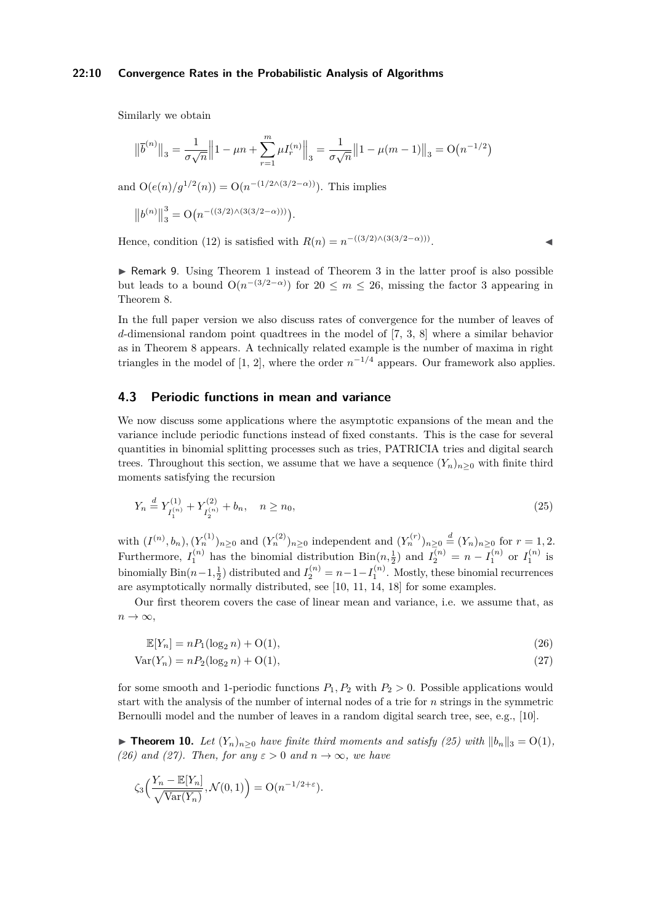#### **22:10 Convergence Rates in the Probabilistic Analysis of Algorithms**

Similarly we obtain

$$
\left\|\overline{b}^{(n)}\right\|_3 = \frac{1}{\sigma\sqrt{n}}\left\|1 - \mu n + \sum_{r=1}^m \mu I_r^{(n)}\right\|_3 = \frac{1}{\sigma\sqrt{n}}\left\|1 - \mu(m-1)\right\|_3 = O\big(n^{-1/2}\big)
$$

and  $O(e(n)/g^{1/2}(n)) = O(n^{-(1/2 \wedge (3/2 - \alpha))})$ . This implies

$$
\left\|b^{(n)}\right\|_3^3 = \mathcal{O}\big(n^{-((3/2)\wedge (3(3/2-\alpha)))}\big).
$$

Hence, condition [\(12\)](#page-3-4) is satisfied with  $R(n) = n^{-((3/2) \wedge (3(3/2 - \alpha)))}$ 

<span id="page-9-0"></span> $\triangleright$  Remark 9. Using Theorem [1](#page-2-4) instead of Theorem [3](#page-3-3) in the latter proof is also possible but leads to a bound  $O(n^{-(3/2-\alpha)})$  for  $20 \leq m \leq 26$ , missing the factor 3 appearing in Theorem [8.](#page-8-2)

In the full paper version we also discuss rates of convergence for the number of leaves of *d*-dimensional random point quadtrees in the model of [\[7,](#page-11-2) [3,](#page-11-3) [8\]](#page-12-9) where a similar behavior as in Theorem [8](#page-8-2) appears. A technically related example is the number of maxima in right triangles in the model of [\[1,](#page-11-4) [2\]](#page-11-5), where the order  $n^{-1/4}$  appears. Our framework also applies.

### **4.3 Periodic functions in mean and variance**

We now discuss some applications where the asymptotic expansions of the mean and the variance include periodic functions instead of fixed constants. This is the case for several quantities in binomial splitting processes such as tries, PATRICIA tries and digital search trees. Throughout this section, we assume that we have a sequence  $(Y_n)_{n>0}$  with finite third moments satisfying the recursion

$$
Y_n \stackrel{d}{=} Y_{I_1^{(n)}}^{(1)} + Y_{I_2^{(n)}}^{(2)} + b_n, \quad n \ge n_0,
$$
\n
$$
(25)
$$

with  $(I^{(n)}, b_n)$ ,  $(Y_n^{(1)})_{n\geq 0}$  and  $(Y_n^{(2)})_{n\geq 0}$  independent and  $(Y_n^{(r)})_{n\geq 0} \stackrel{d}{=} (Y_n)_{n\geq 0}$  for  $r=1,2$ . Furthermore,  $I_1^{(n)}$  has the binomial distribution  $\text{Bin}(n, \frac{1}{2})$  and  $I_2^{(n)} = n - I_1^{(n)}$  or  $I_1^{(n)}$  is binomially  $\text{Bin}(n-1, \frac{1}{2})$  distributed and  $I_2^{(n)} = n-1-I_1^{(n)}$ . Mostly, these binomial recurrences are asymptotically normally distributed, see [\[10,](#page-12-10) [11,](#page-12-11) [14,](#page-12-0) [18\]](#page-12-12) for some examples.

Our first theorem covers the case of linear mean and variance, i.e. we assume that, as  $n \to \infty$ ,

<span id="page-9-3"></span><span id="page-9-2"></span>
$$
\mathbb{E}[Y_n] = nP_1(\log_2 n) + \mathcal{O}(1),\tag{26}
$$

$$
Var(Y_n) = nP_2(\log_2 n) + O(1),\tag{27}
$$

for some smooth and 1-periodic functions  $P_1, P_2$  with  $P_2 > 0$ . Possible applications would start with the analysis of the number of internal nodes of a trie for *n* strings in the symmetric Bernoulli model and the number of leaves in a random digital search tree, see, e.g., [\[10\]](#page-12-10).

▶ **Theorem 10.** *Let*  $(Y_n)_{n>0}$  *have finite third moments and satisfy [\(25\)](#page-9-1) with*  $||b_n||_3 = O(1)$ *, [\(26\)](#page-9-2)* and *[\(27\)](#page-9-3).* Then, for any  $\varepsilon > 0$  and  $n \to \infty$ , we have

$$
\zeta_3\Big(\frac{Y_n - \mathbb{E}[Y_n]}{\sqrt{\text{Var}(Y_n)}}, \mathcal{N}(0, 1)\Big) = O(n^{-1/2 + \varepsilon}).
$$

<span id="page-9-1"></span>. John J. J. J. J. J. J.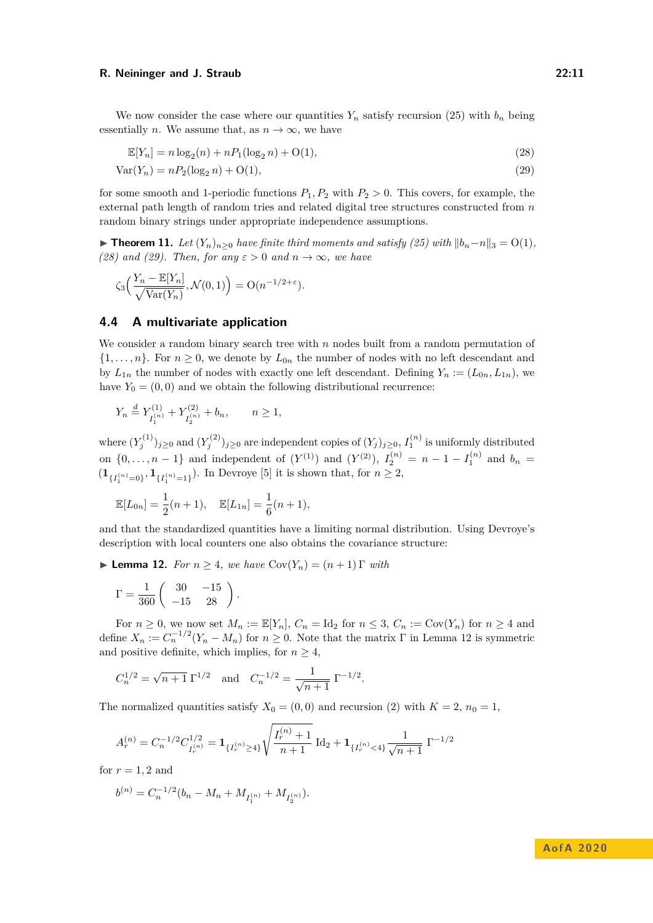We now consider the case where our quantities  $Y_n$  satisfy recursion [\(25\)](#page-9-1) with  $b_n$  being essentially *n*. We assume that, as  $n \to \infty$ , we have

<span id="page-10-2"></span><span id="page-10-1"></span> $\mathbb{E}[Y_n] = n \log_2(n) + nP_1(\log_2 n) + O(1),$  (28)

$$
Var(Y_n) = nP_2(\log_2 n) + O(1),\tag{29}
$$

for some smooth and 1-periodic functions  $P_1, P_2$  with  $P_2 > 0$ . This covers, for example, the external path length of random tries and related digital tree structures constructed from *n* random binary strings under appropriate independence assumptions.

▶ **Theorem 11.** *Let*  $(Y_n)_{n\geq 0}$  *have finite third moments and satisfy [\(25\)](#page-9-1) with*  $||b_n-n||_3 = O(1)$ *, [\(28\)](#page-10-1)* and *[\(29\)](#page-10-2).* Then, for any  $\varepsilon > 0$  and  $n \to \infty$ , we have

$$
\zeta_3\Big(\frac{Y_n - \mathbb{E}[Y_n]}{\sqrt{\text{Var}(Y_n)}}, \mathcal{N}(0, 1)\Big) = O(n^{-1/2 + \varepsilon}).
$$

# <span id="page-10-0"></span>**4.4 A multivariate application**

We consider a random binary search tree with *n* nodes built from a random permutation of  $\{1,\ldots,n\}$ . For  $n\geq 0$ , we denote by  $L_{0n}$  the number of nodes with no left descendant and by  $L_{1n}$  the number of nodes with exactly one left descendant. Defining  $Y_n := (L_{0n}, L_{1n})$ , we have  $Y_0 = (0,0)$  and we obtain the following distributional recurrence:

$$
Y_n \stackrel{d}{=} Y^{(1)}_{I_1^{(n)}} + Y^{(2)}_{I_2^{(n)}} + b_n, \qquad n \geq 1,
$$

where  $(Y_j^{(1)})_{j\geq0}$  and  $(Y_j^{(2)})_{j\geq0}$  are independent copies of  $(Y_j)_{j\geq0}$ ,  $I_1^{(n)}$  is uniformly distributed on  $\{0, \ldots, n-1\}$  and independent of  $(Y^{(1)})$  and  $(Y^{(2)})$ ,  $I_2^{(n)} = n - 1 - I_1^{(n)}$  and  $b_n =$  $(1_{\{I_1^{(n)}=0\}}, 1_{\{I_1^{(n)}=1\}})$ . In Devroye [\[5\]](#page-11-6) it is shown that, for  $n \geq 2$ ,

$$
\mathbb{E}[L_{0n}] = \frac{1}{2}(n+1), \quad \mathbb{E}[L_{1n}] = \frac{1}{6}(n+1),
$$

and that the standardized quantities have a limiting normal distribution. Using Devroye's description with local counters one also obtains the covariance structure:

<span id="page-10-3"></span>**I Lemma 12.** *For*  $n \geq 4$ *, we have*  $Cov(Y_n) = (n+1) \Gamma$  *with* 

$$
\Gamma = \frac{1}{360} \begin{pmatrix} 30 & -15 \\ -15 & 28 \end{pmatrix}.
$$

For  $n \geq 0$ , we now set  $M_n := \mathbb{E}[Y_n]$ ,  $C_n = \text{Id}_2$  for  $n \leq 3$ ,  $C_n := \text{Cov}(Y_n)$  for  $n \geq 4$  and define  $X_n := C_n^{-1/2} (Y_n - M_n)$  for  $n \geq 0$ . Note that the matrix  $\Gamma$  in Lemma [12](#page-10-3) is symmetric and positive definite, which implies, for  $n \geq 4$ ,

$$
C_n^{1/2} = \sqrt{n+1} \Gamma^{1/2}
$$
 and  $C_n^{-1/2} = \frac{1}{\sqrt{n+1}} \Gamma^{-1/2}$ .

The normalized quantities satisfy  $X_0 = (0,0)$  and recursion [\(2\)](#page-1-0) with  $K = 2$ ,  $n_0 = 1$ ,

$$
A_r^{(n)}=C_n^{-1/2}C_{I_r^{(n)}}^{1/2}={\bf 1}_{\{I_r^{(n)}\geq 4\}}\sqrt{\frac{I_r^{(n)}+1}{n+1}}\ \text{Id}_2+{\bf 1}_{\{I_r^{(n)}< 4\}}\frac{1}{\sqrt{n+1}}\ \Gamma^{-1/2}
$$

for  $r = 1, 2$  and

$$
b^{(n)} = C_n^{-1/2} (b_n - M_n + M_{I_1^{(n)}} + M_{I_2^{(n)}}).
$$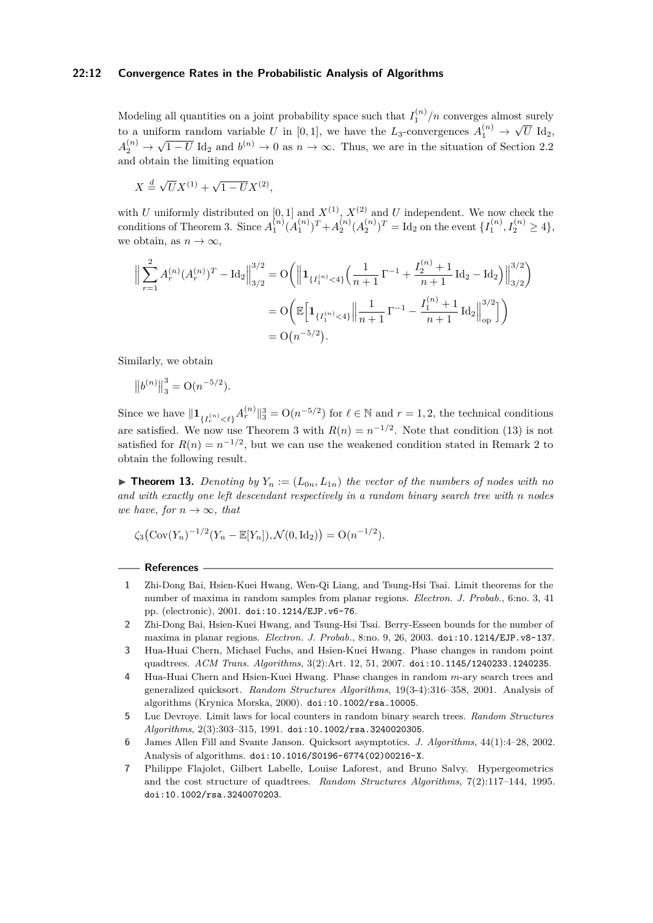### **22:12 Convergence Rates in the Probabilistic Analysis of Algorithms**

Modeling all quantities on a joint probability space such that  $I_1^{(n)}/n$  converges almost surely to a uniform random variable *U* in [0,1], we have the  $L_3$ -convergences  $A_1^{(n)} \to$ √  $U$   $\mathrm{Id}_2,$  $A_2^{(n)} \to$ √  $\overline{1-U}$  Id<sub>2</sub> and  $b^{(n)} \to 0$  as  $n \to \infty$ . Thus, we are in the situation of Section [2.2](#page-3-0) and obtain the limiting equation

 $X \stackrel{d}{=} \sqrt{U}X^{(1)} + \sqrt{1 - U}X^{(2)},$ 

with *U* uniformly distributed on [0, 1] and  $X^{(1)}$ ,  $X^{(2)}$  and *U* independent. We now check the conditions of Theorem [3.](#page-3-3) Since  $A_1^{(n)} (A_1^{(n)})^T + A_2^{(n)} (A_2^{(n)})^T = \text{Id}_2$  on the event  $\{I_1^{(n)}, I_2^{(n)} \ge 4\}$ , we obtain, as  $n \to \infty$ ,

$$
\Big\| \sum_{r=1}^{2} A_r^{(n)} (A_r^{(n)})^T - \text{Id}_2 \Big\|_{3/2}^{3/2} = O\Big( \Big\| \mathbf{1}_{\{I_1^{(n)} < 4\}} \Big( \frac{1}{n+1} \Gamma^{-1} + \frac{I_2^{(n)} + 1}{n+1} \text{Id}_2 - \text{Id}_2 \Big) \Big\|_{3/2}^{3/2} \Big)
$$
\n
$$
= O\Big( \mathbb{E} \Big[ \mathbf{1}_{\{I_1^{(n)} < 4\}} \Big\| \frac{1}{n+1} \Gamma^{-1} - \frac{I_1^{(n)} + 1}{n+1} \text{Id}_2 \Big\|_{\text{op}}^{3/2} \Big] \Big)
$$
\n
$$
= O\Big( n^{-5/2} \Big).
$$

Similarly, we obtain

$$
\left\| b^{(n)} \right\|_3^3 = \mathcal{O}(n^{-5/2}).
$$

Since we have  $\|\mathbf{1}_{\{I_r^{(n)} < \ell\}} A_r^{(n)}\|_3^3 = \mathcal{O}(n^{-5/2})$  for  $\ell \in \mathbb{N}$  and  $r = 1, 2$ , the technical conditions are satisfied. We now use Theorem [3](#page-3-3) with  $R(n) = n^{-1/2}$ . Note that condition [\(13\)](#page-3-5) is not satisfied for  $R(n) = n^{-1/2}$ , but we can use the weakened condition stated in Remark [2](#page-3-6) to obtain the following result.

**Find 13.** Denoting by  $Y_n := (L_{0n}, L_{1n})$  the vector of the numbers of nodes with no *and with exactly one left descendant respectively in a random binary search tree with n nodes we have, for*  $n \to \infty$ *, that* 

$$
\zeta_3\big(\text{Cov}(Y_n)^{-1/2}(Y_n - \mathbb{E}[Y_n]), \mathcal{N}(0, \text{Id}_2)\big) = O(n^{-1/2}).
$$

### **References**

- <span id="page-11-4"></span>**1** Zhi-Dong Bai, Hsien-Kuei Hwang, Wen-Qi Liang, and Tsung-Hsi Tsai. Limit theorems for the number of maxima in random samples from planar regions. *Electron. J. Probab.*, 6:no. 3, 41 pp. (electronic), 2001. [doi:10.1214/EJP.v6-76](https://doi.org/10.1214/EJP.v6-76).
- <span id="page-11-5"></span>**2** Zhi-Dong Bai, Hsien-Kuei Hwang, and Tsung-Hsi Tsai. Berry-Esseen bounds for the number of maxima in planar regions. *Electron. J. Probab.*, 8:no. 9, 26, 2003. [doi:10.1214/EJP.v8-137](https://doi.org/10.1214/EJP.v8-137).
- <span id="page-11-3"></span>**3** Hua-Huai Chern, Michael Fuchs, and Hsien-Kuei Hwang. Phase changes in random point quadtrees. *ACM Trans. Algorithms*, 3(2):Art. 12, 51, 2007. [doi:10.1145/1240233.1240235](https://doi.org/10.1145/1240233.1240235).
- <span id="page-11-1"></span>**4** Hua-Huai Chern and Hsien-Kuei Hwang. Phase changes in random *m*-ary search trees and generalized quicksort. *Random Structures Algorithms*, 19(3-4):316–358, 2001. Analysis of algorithms (Krynica Morska, 2000). [doi:10.1002/rsa.10005](https://doi.org/10.1002/rsa.10005).
- <span id="page-11-6"></span>**5** Luc Devroye. Limit laws for local counters in random binary search trees. *Random Structures Algorithms*, 2(3):303–315, 1991. [doi:10.1002/rsa.3240020305](https://doi.org/10.1002/rsa.3240020305).
- <span id="page-11-0"></span>**6** James Allen Fill and Svante Janson. Quicksort asymptotics. *J. Algorithms*, 44(1):4–28, 2002. Analysis of algorithms. [doi:10.1016/S0196-6774\(02\)00216-X](https://doi.org/10.1016/S0196-6774(02)00216-X).
- <span id="page-11-2"></span>**7** Philippe Flajolet, Gilbert Labelle, Louise Laforest, and Bruno Salvy. Hypergeometrics and the cost structure of quadtrees. *Random Structures Algorithms*, 7(2):117–144, 1995. [doi:10.1002/rsa.3240070203](https://doi.org/10.1002/rsa.3240070203).